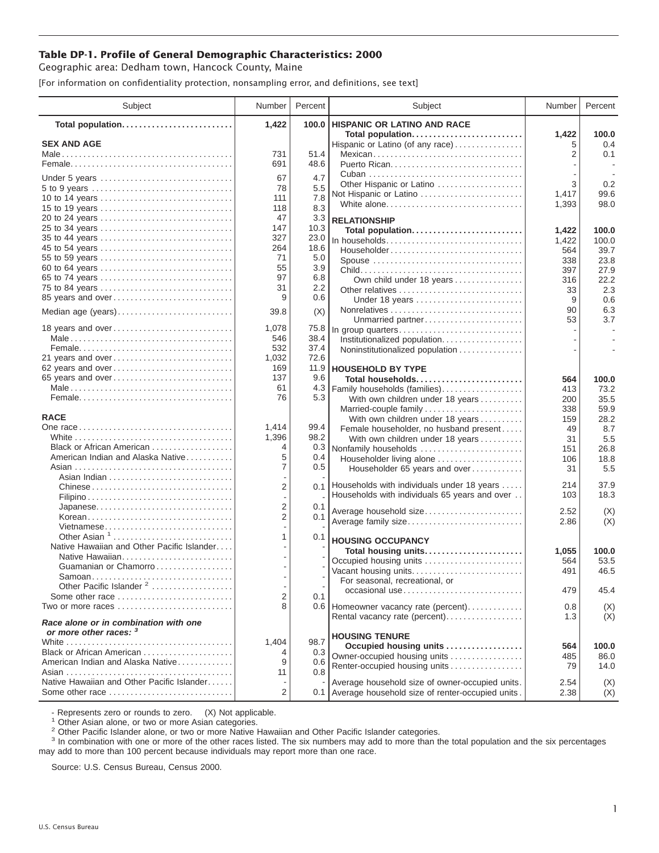## **Table DP-1. Profile of General Demographic Characteristics: 2000**

Geographic area: Dedham town, Hancock County, Maine

[For information on confidentiality protection, nonsampling error, and definitions, see text]

| Subject                                                         | Number         | Percent      | Subject                                              | Number     | Percent      |
|-----------------------------------------------------------------|----------------|--------------|------------------------------------------------------|------------|--------------|
| Total population                                                | 1,422          | 100.0        | <b>HISPANIC OR LATINO AND RACE</b>                   |            |              |
| <b>SEX AND AGE</b>                                              |                |              | Total population<br>Hispanic or Latino (of any race) | 1,422<br>5 | 100.0<br>0.4 |
|                                                                 | 731            | 51.4         | Mexican                                              | 2          | 0.1          |
|                                                                 | 691            | 48.6         |                                                      |            |              |
|                                                                 |                |              |                                                      |            |              |
| Under 5 years                                                   | 67<br>78       | 4.7<br>5.5   | Other Hispanic or Latino                             | 3          | 0.2          |
| 5 to 9 years<br>10 to 14 years                                  | 111            | 7.8          | Not Hispanic or Latino                               | 1,417      | 99.6         |
| 15 to 19 years                                                  | 118            | 8.3          | White alone                                          | 1,393      | 98.0         |
| 20 to 24 years                                                  | 47             | 3.3          | <b>RELATIONSHIP</b>                                  |            |              |
| 25 to 34 years                                                  | 147            | 10.3         | Total population                                     | 1,422      | 100.0        |
| 35 to 44 years                                                  | 327            | 23.0         | In households                                        | 1,422      | 100.0        |
| 45 to 54 years                                                  | 264            | 18.6         | Householder                                          | 564        | 39.7         |
| 55 to 59 years                                                  | 71             | 5.0          | Spouse                                               | 338        | 23.8         |
| 60 to 64 years                                                  | 55             | 3.9          |                                                      | 397        | 27.9         |
| 65 to 74 years                                                  | 97             | 6.8          | Own child under 18 years                             | 316        | 22.2         |
| 75 to 84 years                                                  | 31             | 2.2          | Other relatives                                      | 33         | 2.3          |
| 85 years and over                                               | 9              | 0.6          | Under 18 years                                       | 9          | 0.6          |
| Median age (years)                                              | 39.8           | (X)          |                                                      | 90         | 6.3          |
|                                                                 |                |              | Unmarried partner                                    | 53         | 3.7          |
| 18 years and over                                               | 1,078          | 75.8         | In group quarters                                    |            |              |
|                                                                 | 546<br>532     | 38.4<br>37.4 | Institutionalized population                         |            |              |
| 21 years and over                                               | 1,032          | 72.6         | Noninstitutionalized population                      |            |              |
| 62 years and over                                               | 169            | 11.9         | <b>HOUSEHOLD BY TYPE</b>                             |            |              |
| 65 years and over                                               | 137            | 9.6          | Total households                                     | 564        | 100.0        |
|                                                                 | 61             | 4.3          | Family households (families)                         | 413        | 73.2         |
|                                                                 | 76             | 5.3          | With own children under 18 years                     | 200        | 35.5         |
|                                                                 |                |              | Married-couple family                                | 338        | 59.9         |
| <b>RACE</b>                                                     |                |              | With own children under 18 years                     | 159        | 28.2         |
|                                                                 | 1,414          | 99.4         | Female householder, no husband present               | 49         | 8.7          |
|                                                                 | 1,396          | 98.2         | With own children under 18 years                     | 31         | 5.5          |
| Black or African American                                       | 4              | 0.3          | Nonfamily households                                 | 151        | 26.8         |
| American Indian and Alaska Native                               | 5              | 0.4          | Householder living alone                             | 106        | 18.8         |
|                                                                 | 7              | 0.5          | Householder 65 years and over                        | 31         | 5.5          |
|                                                                 | $\overline{2}$ |              | 0.1 Households with individuals under 18 years       | 214        | 37.9         |
|                                                                 |                |              | Households with individuals 65 years and over        | 103        | 18.3         |
|                                                                 | $\overline{2}$ | 0.1          |                                                      |            |              |
| Korean                                                          | 2              | 0.1          | Average household size                               | 2.52       | (X)          |
| Vietnamese                                                      |                |              | Average family size                                  | 2.86       | (X)          |
| Other Asian <sup>1</sup>                                        | 1              | 0.1          | <b>HOUSING OCCUPANCY</b>                             |            |              |
| Native Hawaiian and Other Pacific Islander                      |                |              | Total housing units                                  | 1,055      | 100.0        |
| Native Hawaiian                                                 |                |              | Occupied housing units                               | 564        | 53.5         |
| Guamanian or Chamorro                                           |                |              | Vacant housing units                                 | 491        | 46.5         |
| Samoan                                                          |                |              | For seasonal, recreational, or                       |            |              |
| Other Pacific Islander <sup>2</sup>                             |                |              | occasional use                                       | 479        | 45.4         |
| Some other race                                                 | 2<br>8         | 0.1          |                                                      |            |              |
| Two or more races                                               |                |              | 0.6 Homeowner vacancy rate (percent)                 | 0.8        | (X)          |
| Race alone or in combination with one<br>or more other races: 3 |                |              | Rental vacancy rate (percent)                        | 1.3        | (X)          |
|                                                                 | 1,404          | 98.7         | <b>HOUSING TENURE</b>                                |            |              |
| Black or African American                                       | 4              | 0.3          | Occupied housing units                               | 564        | 100.0        |
| American Indian and Alaska Native                               | 9              | 0.6          | Owner-occupied housing units                         | 485        | 86.0         |
|                                                                 | 11             | 0.8          | Renter-occupied housing units                        | 79         | 14.0         |
| Native Hawaiian and Other Pacific Islander                      |                |              | Average household size of owner-occupied units.      | 2.54       | (X)          |
| Some other race                                                 | 2              |              | 0.1 Average household size of renter-occupied units. | 2.38       | (X)          |

- Represents zero or rounds to zero. (X) Not applicable.<br><sup>1</sup> Other Asian alone, or two or more Asian categories.

<sup>2</sup> Other Pacific Islander alone, or two or more Native Hawaiian and Other Pacific Islander categories.<br><sup>3</sup> In combination with one or more of the other races listed. The six numbers may add to more than the total populati may add to more than 100 percent because individuals may report more than one race.

Source: U.S. Census Bureau, Census 2000.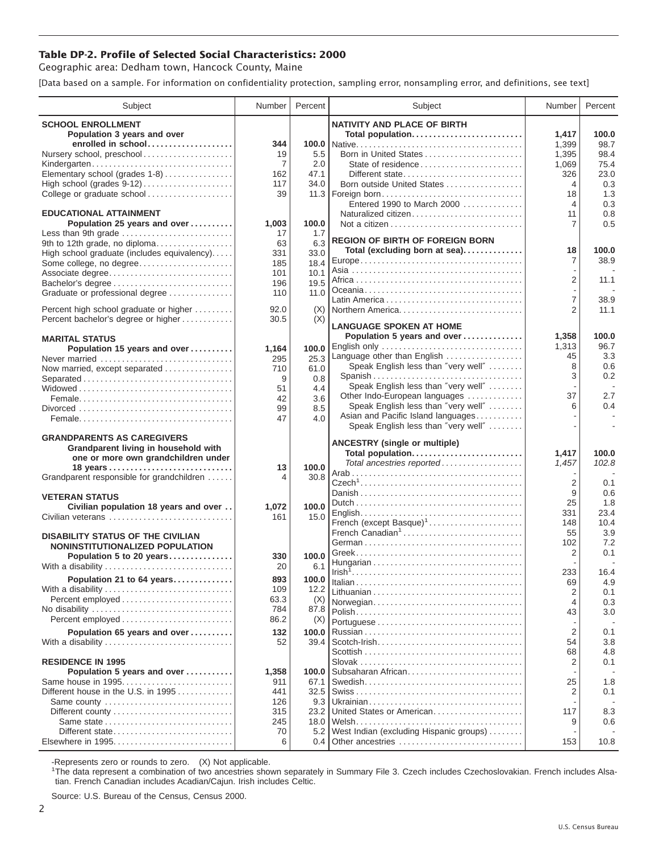## **Table DP-2. Profile of Selected Social Characteristics: 2000**

Geographic area: Dedham town, Hancock County, Maine

[Data based on a sample. For information on confidentiality protection, sampling error, nonsampling error, and definitions, see text]

| Subject                                                                       | Number         | Percent       | Subject                                                                   | Number               | Percent    |
|-------------------------------------------------------------------------------|----------------|---------------|---------------------------------------------------------------------------|----------------------|------------|
| <b>SCHOOL ENROLLMENT</b>                                                      |                |               | <b>NATIVITY AND PLACE OF BIRTH</b>                                        |                      |            |
| Population 3 years and over                                                   |                |               | Total population                                                          | 1,417                | 100.0      |
| enrolled in school                                                            | 344            |               |                                                                           | 1,399                | 98.7       |
| Nursery school, preschool                                                     | 19             | 5.5           | Born in United States                                                     | 1,395                | 98.4       |
| Kindergarten                                                                  | $\overline{7}$ | 2.0           | State of residence                                                        | 1,069                | 75.4       |
| Elementary school (grades 1-8)                                                | 162            | 47.1          | Different state                                                           | 326                  | 23.0       |
| High school (grades 9-12)                                                     | 117            | 34.0          | Born outside United States                                                | 4                    | 0.3        |
| College or graduate school                                                    | 39             | 11.3          | Foreign born                                                              | 18                   | 1.3        |
|                                                                               |                |               | Entered 1990 to March 2000                                                | 4                    | 0.3        |
| <b>EDUCATIONAL ATTAINMENT</b><br>Population 25 years and over                 |                | 100.0         | Naturalized citizen                                                       | 11<br>$\overline{7}$ | 0.8<br>0.5 |
| Less than 9th grade                                                           | 1,003<br>17    | 1.7           |                                                                           |                      |            |
| 9th to 12th grade, no diploma                                                 | 63             | 6.3           | <b>REGION OF BIRTH OF FOREIGN BORN</b>                                    |                      |            |
| High school graduate (includes equivalency)                                   | 331            | 33.0          | Total (excluding born at sea)                                             | 18                   | 100.0      |
| Some college, no degree                                                       | 185            | 18.4          |                                                                           | $\overline{7}$       | 38.9       |
| Associate degree                                                              | 101            | 10.1          |                                                                           |                      |            |
| Bachelor's degree                                                             | 196            | 19.5          |                                                                           | $\overline{2}$       | 11.1       |
| Graduate or professional degree                                               | 110            | 11.0          |                                                                           |                      |            |
|                                                                               |                |               |                                                                           | $\overline{7}$       | 38.9       |
| Percent high school graduate or higher<br>Percent bachelor's degree or higher | 92.0<br>30.5   | (X)<br>(X)    | Northern America                                                          | 2                    | 11.1       |
|                                                                               |                |               | <b>LANGUAGE SPOKEN AT HOME</b>                                            |                      |            |
| <b>MARITAL STATUS</b>                                                         |                |               | Population 5 years and over                                               | 1,358                | 100.0      |
| Population 15 years and over                                                  | 1,164          | 100.0         | English only                                                              | 1,313                | 96.7       |
| Never married                                                                 | 295            | 25.3          | Language other than English                                               | 45                   | 3.3        |
| Now married, except separated                                                 | 710            | 61.0          | Speak English less than "very well"                                       | 8                    | 0.6        |
| Separated                                                                     | 9              | 0.8           | Spanish                                                                   | 3                    | 0.2        |
|                                                                               | 51             | 4.4           | Speak English less than "very well"                                       |                      |            |
|                                                                               | 42             | 3.6           | Other Indo-European languages                                             | 37<br>6              | 2.7<br>0.4 |
|                                                                               | 99             | 8.5           | Speak English less than "very well"<br>Asian and Pacific Island languages |                      |            |
|                                                                               | 47             | 4.0           | Speak English less than "very well"                                       |                      |            |
| <b>GRANDPARENTS AS CAREGIVERS</b>                                             |                |               |                                                                           |                      |            |
| Grandparent living in household with                                          |                |               | <b>ANCESTRY (single or multiple)</b>                                      |                      |            |
| one or more own grandchildren under                                           |                |               | Total population                                                          | 1,417                | 100.0      |
|                                                                               | 13             | 100.0         | Total ancestries reported                                                 | 1,457                | 102.8      |
| Grandparent responsible for grandchildren                                     | 4              | 30.8          |                                                                           |                      |            |
|                                                                               |                |               |                                                                           | 2<br>9               | 0.1        |
| <b>VETERAN STATUS</b>                                                         |                |               |                                                                           | 25                   | 0.6<br>1.8 |
| Civilian population 18 years and over                                         | 1,072          | 100.0         |                                                                           | 331                  | 23.4       |
| Civilian veterans                                                             | 161            | 15.0          | French (except Basque) <sup>1</sup>                                       | 148                  | 10.4       |
|                                                                               |                |               | French Canadian <sup>1</sup>                                              | 55                   | 3.9        |
| <b>DISABILITY STATUS OF THE CIVILIAN</b><br>NONINSTITUTIONALIZED POPULATION   |                |               |                                                                           | 102                  | 7.2        |
| Population 5 to 20 years                                                      | 330            | 100.0         |                                                                           | 2                    | 0.1        |
| With a disability                                                             | 20             | 6.1           |                                                                           |                      |            |
| Population 21 to 64 years                                                     | 893            | 100.0         |                                                                           | 233                  | 16.4       |
|                                                                               |                |               |                                                                           | 69                   | 4.9        |
| With a disability<br>Percent employed                                         | 109<br>63.3    | 12.2<br>(X)   |                                                                           | 2                    | 0.1        |
| No disability                                                                 | 784            | 87.8          | Norwegian                                                                 | 4                    | 0.3        |
| Percent employed                                                              | 86.2           | (X)           |                                                                           | 43                   | 3.0        |
|                                                                               | 132            |               |                                                                           | $\overline{2}$       |            |
| Population 65 years and over                                                  | 52             | 100.0<br>39.4 |                                                                           | 54                   | 0.1<br>3.8 |
| With a disability                                                             |                |               |                                                                           | 68                   | 4.8        |
| <b>RESIDENCE IN 1995</b>                                                      |                |               |                                                                           | 2                    | 0.1        |
| Population 5 years and over                                                   | 1,358          | 100.0         | Subsaharan African                                                        |                      |            |
| Same house in 1995                                                            | 911            | 67.1          |                                                                           | 25                   | 1.8        |
| Different house in the U.S. in 1995                                           | 441            | 32.5          |                                                                           | 2                    | 0.1        |
| Same county                                                                   | 126            | 9.3           |                                                                           |                      |            |
|                                                                               | 315            | 23.2          | United States or American                                                 | 117                  | 8.3        |
|                                                                               | 245            | 18.0          |                                                                           | 9                    | 0.6        |
| Different state                                                               | 70             | 5.2           | West Indian (excluding Hispanic groups)                                   |                      |            |
| Elsewhere in 1995                                                             | 6              | 0.4           | Other ancestries                                                          | 153                  | 10.8       |

-Represents zero or rounds to zero. (X) Not applicable. 1 The data represent a combination of two ancestries shown separately in Summary File 3. Czech includes Czechoslovakian. French includes Alsatian. French Canadian includes Acadian/Cajun. Irish includes Celtic.

Source: U.S. Bureau of the Census, Census 2000.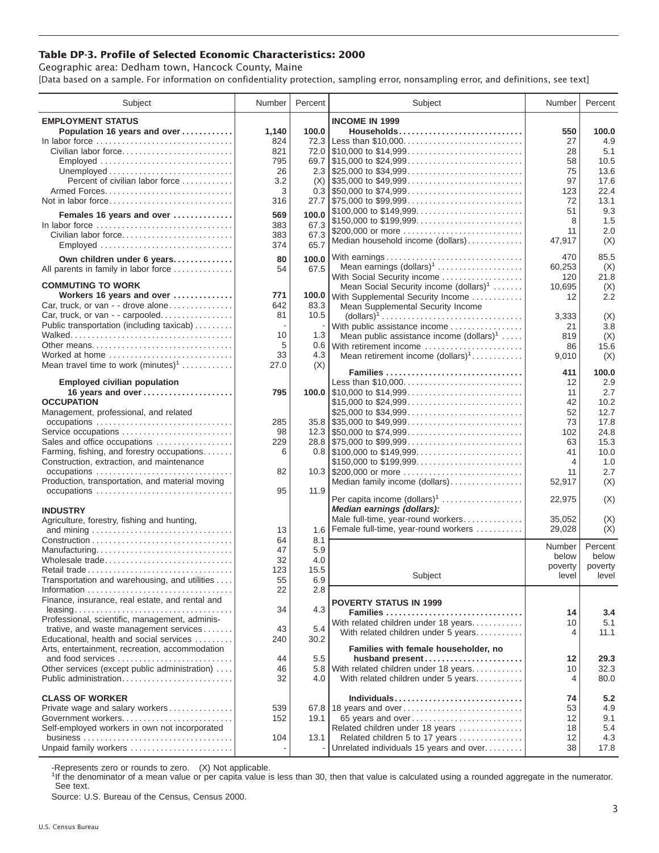## **Table DP-3. Profile of Selected Economic Characteristics: 2000**

Geographic area: Dedham town, Hancock County, Maine [Data based on a sample. For information on confidentiality protection, sampling error, nonsampling error, and definitions, see text]

| Subject                                                                                                                           | Number | Percent | Subject                                                                                | Number         | Percent     |
|-----------------------------------------------------------------------------------------------------------------------------------|--------|---------|----------------------------------------------------------------------------------------|----------------|-------------|
| <b>EMPLOYMENT STATUS</b>                                                                                                          |        |         | <b>INCOME IN 1999</b>                                                                  |                |             |
| Population 16 years and over                                                                                                      | 1,140  | 100.0   | Households                                                                             | 550            | 100.0       |
| In labor force                                                                                                                    | 824    | 72.3    | Less than \$10,000                                                                     | 27             | 4.9         |
| Civilian labor force                                                                                                              | 821    | 72.0    | $\frac{1}{2}$ \$10,000 to \$14,999                                                     | 28             | 5.1         |
| Employed                                                                                                                          | 795    |         |                                                                                        | 58             | 10.5        |
|                                                                                                                                   | 26     |         | 2.3 $\frac{1}{25,000}$ to \$34,999                                                     | 75             | 13.6        |
| Percent of civilian labor force                                                                                                   | 3.2    | (X)     | $\frac{1}{2}$ \$35,000 to \$49,999                                                     | 97             | 17.6        |
|                                                                                                                                   | 3      |         |                                                                                        | 123            | 22.4        |
| Not in labor force                                                                                                                | 316    |         |                                                                                        | 72             | 13.1        |
| Females 16 years and over                                                                                                         | 569    | 100.0   | \$100,000 to \$149,999                                                                 | 51             | 9.3         |
| In labor force                                                                                                                    | 383    | 67.3    | \$150,000 to \$199,999                                                                 | 8              | 1.5         |
| Civilian labor force                                                                                                              | 383    | 67.3    | \$200,000 or more                                                                      | 11             | 2.0         |
| Employed                                                                                                                          | 374    | 65.7    | Median household income (dollars)                                                      | 47,917         | (X)         |
|                                                                                                                                   |        |         |                                                                                        |                |             |
| Own children under 6 years                                                                                                        | 80     | 100.0   | With earnings                                                                          | 470            | 85.5        |
| All parents in family in labor force                                                                                              | 54     | 67.5    | Mean earnings (dollars) <sup>1</sup>                                                   | 60,253         | (X)         |
| <b>COMMUTING TO WORK</b>                                                                                                          |        |         | With Social Security income                                                            | 120            | 21.8        |
| Workers 16 years and over                                                                                                         | 771    | 100.0   | Mean Social Security income $(dollars)^1$                                              | 10,695         | (X)         |
| Car, truck, or van - - drove alone                                                                                                | 642    | 83.3    | With Supplemental Security Income                                                      | 12             | 2.2         |
| Car, truck, or van - - carpooled                                                                                                  | 81     | 10.5    | Mean Supplemental Security Income                                                      |                |             |
| Public transportation (including taxicab)                                                                                         |        |         | $\text{(dollars)}^1 \dots \dots \dots \dots \dots \dots \dots \dots \dots \dots \dots$ | 3,333          | (X)         |
|                                                                                                                                   | 10     | 1.3     | With public assistance income                                                          | 21<br>819      | 3.8         |
| Other means                                                                                                                       | 5      |         | Mean public assistance income $(dollars)^1 \ldots$ .<br>0.6 With retirement income     | 86             | (X)<br>15.6 |
| Worked at home                                                                                                                    | 33     | 4.3     | Mean retirement income $(dollars)1$                                                    | 9,010          | (X)         |
| Mean travel time to work $(minutes)^1$                                                                                            | 27.0   | (X)     |                                                                                        |                |             |
|                                                                                                                                   |        |         | Families                                                                               | 411            | 100.0       |
| <b>Employed civilian population</b>                                                                                               |        |         | Less than \$10,000                                                                     | 12             | 2.9         |
| 16 years and over                                                                                                                 | 795    |         |                                                                                        | 11             | 2.7         |
| <b>OCCUPATION</b>                                                                                                                 |        |         | \$15,000 to \$24,999                                                                   | 42             | 10.2        |
| Management, professional, and related                                                                                             |        |         | \$25,000 to \$34,999                                                                   | 52             | 12.7        |
| occupations                                                                                                                       | 285    |         | $35.8$ \\ \$35,000 to \$49,999                                                         | 73             | 17.8        |
| Service occupations                                                                                                               | 98     |         |                                                                                        | 102            | 24.8        |
| Sales and office occupations                                                                                                      | 229    |         |                                                                                        | 63             | 15.3        |
| Farming, fishing, and forestry occupations                                                                                        | 6      |         |                                                                                        | 41             | 10.0        |
| Construction, extraction, and maintenance                                                                                         |        |         | \$150,000 to \$199,999                                                                 | $\overline{4}$ | 1.0         |
| occupations                                                                                                                       | 82     |         | 10.3 \$200,000 or more                                                                 | 11             | 2.7         |
| Production, transportation, and material moving                                                                                   |        |         | Median family income (dollars)                                                         | 52,917         | (X)         |
| occupations                                                                                                                       | 95     | 11.9    |                                                                                        |                |             |
|                                                                                                                                   |        |         | Per capita income $(dollars)1$                                                         | 22,975         | (X)         |
| <b>INDUSTRY</b>                                                                                                                   |        |         | Median earnings (dollars):                                                             |                |             |
| Agriculture, forestry, fishing and hunting,                                                                                       |        |         | Male full-time, year-round workers                                                     | 35,052         | (X)         |
|                                                                                                                                   | 13     | 1.6     | Female full-time, year-round workers                                                   | 29,028         | (X)         |
|                                                                                                                                   | 64     | 8.1     |                                                                                        | Number         | Percent     |
| Manufacturing                                                                                                                     | 47     | 5.9     |                                                                                        | below          | below       |
| Wholesale trade                                                                                                                   | 32     | 4.0     |                                                                                        | poverty        | poverty     |
|                                                                                                                                   | 123    | 15.5    | Subject                                                                                | level          | level       |
| Transportation and warehousing, and utilities                                                                                     | 55     | 6.9     |                                                                                        |                |             |
| Finance, insurance, real estate, and rental and                                                                                   | 22     | 2.8     |                                                                                        |                |             |
|                                                                                                                                   | 34     | 4.3     | <b>POVERTY STATUS IN 1999</b>                                                          |                |             |
| $leasing \ldots \ldots \ldots \ldots \ldots \ldots \ldots \ldots \ldots \ldots$<br>Professional, scientific, management, adminis- |        |         | Families                                                                               | 14             | 3.4         |
| trative, and waste management services                                                                                            | 43     | 5.4     | With related children under 18 years                                                   | 10             | 5.1         |
| Educational, health and social services                                                                                           | 240    | 30.2    | With related children under 5 years                                                    | 4              | 11.1        |
| Arts, entertainment, recreation, accommodation                                                                                    |        |         | Families with female householder, no                                                   |                |             |
| and food services                                                                                                                 | 44     | 5.5     | husband present                                                                        | 12             | 29.3        |
| Other services (except public administration)                                                                                     | 46     | 5.8     | With related children under 18 years                                                   | 10             | 32.3        |
| Public administration                                                                                                             | 32     | 4.0     | With related children under 5 years                                                    | $\overline{4}$ | 80.0        |
|                                                                                                                                   |        |         |                                                                                        |                |             |
| <b>CLASS OF WORKER</b>                                                                                                            |        |         |                                                                                        | 74             | 5.2         |
| Private wage and salary workers                                                                                                   | 539    |         | 67.8 18 years and over                                                                 | 53             | 4.9         |
| Government workers                                                                                                                | 152    | 19.1    | 65 years and over                                                                      | 12             | 9.1         |
| Self-employed workers in own not incorporated                                                                                     |        |         | Related children under 18 years                                                        | 18             | 5.4         |
|                                                                                                                                   | 104    | 13.1    | Related children 5 to 17 years                                                         | 12             | 4.3         |
| Unpaid family workers                                                                                                             |        |         | Unrelated individuals 15 years and over                                                | 38             | 17.8        |

-Represents zero or rounds to zero. (X) Not applicable.

<sup>1</sup>If the denominator of a mean value or per capita value is less than 30, then that value is calculated using a rounded aggregate in the numerator. See text.

Source: U.S. Bureau of the Census, Census 2000.